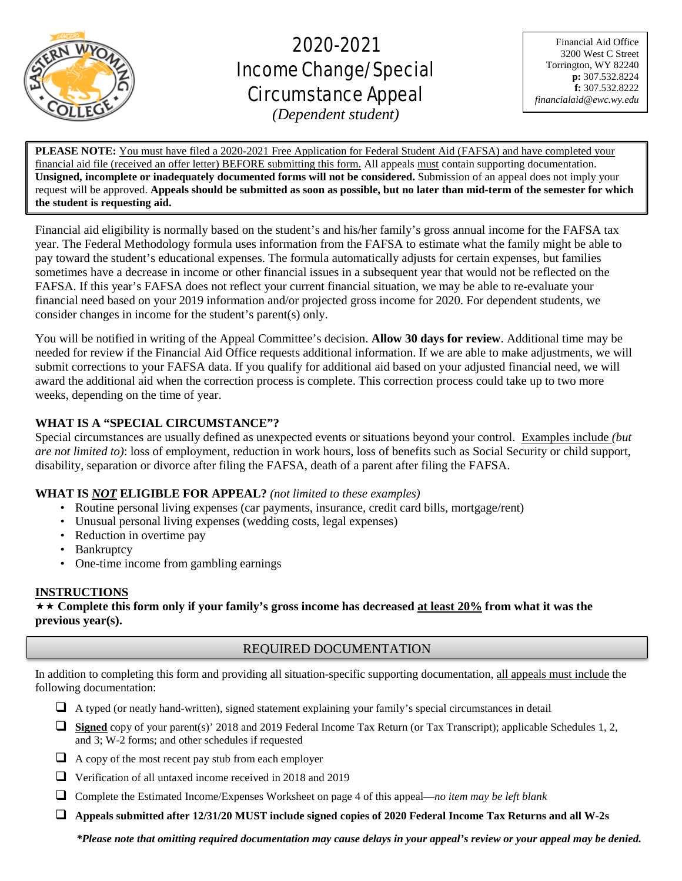

# 2020-2021 Income Change/Special Circumstance Appeal

Financial Aid Office 3200 West C Street Torrington, WY 82240 **p:** 307.532.8224 **f:** 307.532.8222 *financialaid@ewc.wy.edu*

*(Dependent student)*

L

**PLEASE NOTE:** You must have filed a 2020-2021 Free Application for Federal Student Aid (FAFSA) and have completed your financial aid file (received an offer letter) BEFORE submitting this form. All appeals must contain supporting documentation. **Unsigned, incomplete or inadequately documented forms will not be considered.** Submission of an appeal does not imply your request will be approved. **Appeals should be submitted as soon as possible, but no later than mid-term of the semester for which the student is requesting aid.**

Financial aid eligibility is normally based on the student's and his/her family's gross annual income for the FAFSA tax year. The Federal Methodology formula uses information from the FAFSA to estimate what the family might be able to pay toward the student's educational expenses. The formula automatically adjusts for certain expenses, but families sometimes have a decrease in income or other financial issues in a subsequent year that would not be reflected on the FAFSA. If this year's FAFSA does not reflect your current financial situation, we may be able to re-evaluate your financial need based on your 2019 information and/or projected gross income for 2020. For dependent students, we consider changes in income for the student's parent(s) only.

You will be notified in writing of the Appeal Committee's decision. **Allow 30 days for review**. Additional time may be needed for review if the Financial Aid Office requests additional information. If we are able to make adjustments, we will submit corrections to your FAFSA data. If you qualify for additional aid based on your adjusted financial need, we will award the additional aid when the correction process is complete. This correction process could take up to two more weeks, depending on the time of year.

# **WHAT IS A "SPECIAL CIRCUMSTANCE"?**

Special circumstances are usually defined as unexpected events or situations beyond your control. Examples include *(but are not limited to)*: loss of employment, reduction in work hours, loss of benefits such as Social Security or child support, disability, separation or divorce after filing the FAFSA, death of a parent after filing the FAFSA.

# **WHAT IS** *NOT* **ELIGIBLE FOR APPEAL?** *(not limited to these examples)*

- Routine personal living expenses (car payments, insurance, credit card bills, mortgage/rent)
- Unusual personal living expenses (wedding costs, legal expenses)
- Reduction in overtime pay
- Bankruptcy
- One-time income from gambling earnings

## **INSTRUCTIONS**

 **Complete this form only if your family's gross income has decreased at least 20% from what it was the previous year(s).**

# REQUIRED DOCUMENTATION

In addition to completing this form and providing all situation-specific supporting documentation, all appeals must include the following documentation:

- $\Box$  A typed (or neatly hand-written), signed statement explaining your family's special circumstances in detail
- **Signed** copy of your parent(s)' 2018 and 2019 Federal Income Tax Return (or Tax Transcript); applicable Schedules 1, 2, and 3; W-2 forms; and other schedules if requested
- A copy of the most recent pay stub from each employer
- Verification of all untaxed income received in 2018 and 2019
- Complete the Estimated Income/Expenses Worksheet on page 4 of this appeal—*no item may be left blank*
- **Appeals submitted after 12/31/20 MUST include signed copies of 2020 Federal Income Tax Returns and all W-2s**

*\*Please note that omitting required documentation may cause delays in your appeal's review or your appeal may be denied.*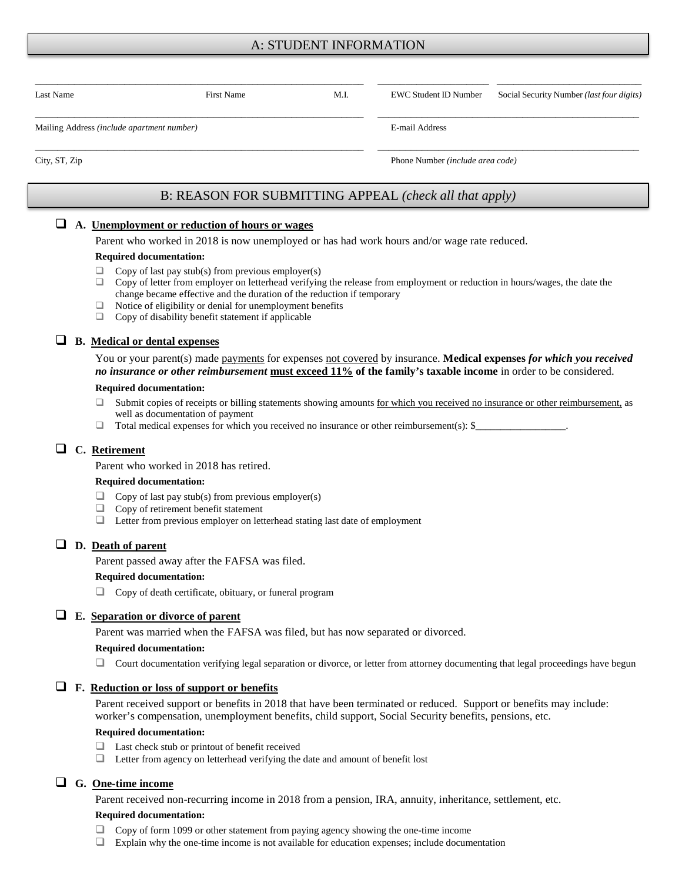## A: STUDENT INFORMATION

| Last Name                                  | First Name | M.I. | EWC Student ID Number            | Social Security Number ( <i>last four digits</i> ) |  |
|--------------------------------------------|------------|------|----------------------------------|----------------------------------------------------|--|
| Mailing Address (include apartment number) |            |      | E-mail Address                   |                                                    |  |
| City, ST, Zip                              |            |      | Phone Number (include area code) |                                                    |  |

# B: REASON FOR SUBMITTING APPEAL *(check all that apply)*

#### **A. Unemployment or reduction of hours or wages**

Parent who worked in 2018 is now unemployed or has had work hours and/or wage rate reduced.

#### **Required documentation:**

- $\Box$  Copy of last pay stub(s) from previous employer(s)
- $\Box$  Copy of letter from employer on letterhead verifying the release from employment or reduction in hours/wages, the date the change became effective and the duration of the reduction if temporary
- $\Box$  Notice of eligibility or denial for unemployment benefits  $\Box$  Copy of disability benefit statement if applicable
- Copy of disability benefit statement if applicable

## **B. Medical or dental expenses**

You or your parent(s) made payments for expenses not covered by insurance. **Medical expenses** *for which you received no insurance or other reimbursement* **must exceed 11% of the family's taxable income** in order to be considered.

#### **Required documentation:**

- □ Submit copies of receipts or billing statements showing amounts for which you received no insurance or other reimbursement, as well as documentation of payment
- $\Box$  Total medical expenses for which you received no insurance or other reimbursement(s): \$

## **C. Retirement**

Parent who worked in 2018 has retired.

#### **Required documentation:**

- $\Box$  Copy of last pay stub(s) from previous employer(s)<br> $\Box$  Copy of retirement benefit statement
- Copy of retirement benefit statement
- Letter from previous employer on letterhead stating last date of employment

## **D. Death of parent**

Parent passed away after the FAFSA was filed.

#### **Required documentation:**

Copy of death certificate, obituary, or funeral program

## **E. Separation or divorce of parent**

Parent was married when the FAFSA was filed, but has now separated or divorced.

#### **Required documentation:**

 $\Box$  Court documentation verifying legal separation or divorce, or letter from attorney documenting that legal proceedings have begun

## **F. Reduction or loss of support or benefits**

Parent received support or benefits in 2018 that have been terminated or reduced. Support or benefits may include: worker's compensation, unemployment benefits, child support, Social Security benefits, pensions, etc.

#### **Required documentation:**

- □ Last check stub or printout of benefit received
- Letter from agency on letterhead verifying the date and amount of benefit lost

## **G. One-time income**

Parent received non-recurring income in 2018 from a pension, IRA, annuity, inheritance, settlement, etc.

#### **Required documentation:**

- Copy of form 1099 or other statement from paying agency showing the one-time income
- Explain why the one-time income is not available for education expenses; include documentation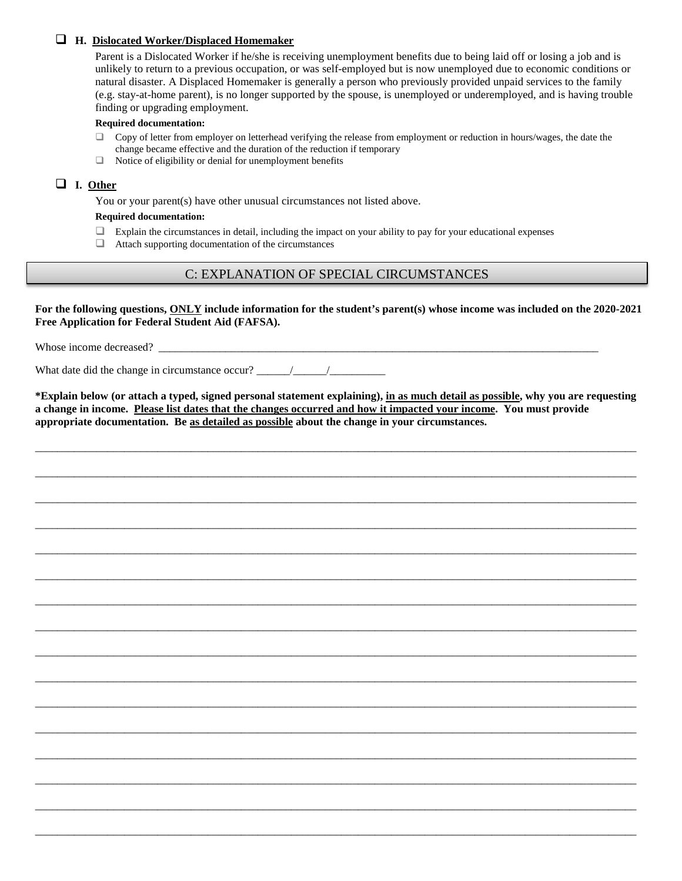## **H. Dislocated Worker/Displaced Homemaker**

Parent is a Dislocated Worker if he/she is receiving unemployment benefits due to being laid off or losing a job and is unlikely to return to a previous occupation, or was self-employed but is now unemployed due to economic conditions or natural disaster. A Displaced Homemaker is generally a person who previously provided unpaid services to the family (e.g. stay-at-home parent), is no longer supported by the spouse, is unemployed or underemployed, and is having trouble finding or upgrading employment.

#### **Required documentation:**

- $\Box$  Copy of letter from employer on letterhead verifying the release from employment or reduction in hours/wages, the date the change became effective and the duration of the reduction if temporary
- $\Box$  Notice of eligibility or denial for unemployment benefits

## **I. Other**

You or your parent(s) have other unusual circumstances not listed above.

#### **Required documentation:**

- $\Box$  Explain the circumstances in detail, including the impact on your ability to pay for your educational expenses
- $\Box$  Attach supporting documentation of the circumstances

# C: EXPLANATION OF SPECIAL CIRCUMSTANCES

**For the following questions, ONLY include information for the student's parent(s) whose income was included on the 2020-2021 Free Application for Federal Student Aid (FAFSA).**

Whose income decreased? \_\_\_\_\_\_\_\_\_\_\_\_\_\_\_\_\_\_\_\_\_\_\_\_\_\_\_\_\_\_\_\_\_\_\_\_\_\_\_\_\_\_\_\_\_\_\_\_\_\_\_\_\_\_\_\_\_\_\_\_\_\_\_\_\_\_\_\_\_\_\_\_\_\_\_\_\_\_\_

What date did the change in circumstance occur?  $\frac{1}{2}$  /

**\*Explain below (or attach a typed, signed personal statement explaining), in as much detail as possible, why you are requesting a change in income. Please list dates that the changes occurred and how it impacted your income. You must provide appropriate documentation. Be as detailed as possible about the change in your circumstances.** 

\_\_\_\_\_\_\_\_\_\_\_\_\_\_\_\_\_\_\_\_\_\_\_\_\_\_\_\_\_\_\_\_\_\_\_\_\_\_\_\_\_\_\_\_\_\_\_\_\_\_\_\_\_\_\_\_\_\_\_\_\_\_\_\_\_\_\_\_\_\_\_\_\_\_\_\_\_\_\_\_\_\_\_\_\_\_\_\_\_\_\_\_\_\_\_\_\_\_\_\_\_\_\_\_\_\_\_\_

\_\_\_\_\_\_\_\_\_\_\_\_\_\_\_\_\_\_\_\_\_\_\_\_\_\_\_\_\_\_\_\_\_\_\_\_\_\_\_\_\_\_\_\_\_\_\_\_\_\_\_\_\_\_\_\_\_\_\_\_\_\_\_\_\_\_\_\_\_\_\_\_\_\_\_\_\_\_\_\_\_\_\_\_\_\_\_\_\_\_\_\_\_\_\_\_\_\_\_\_\_\_\_\_\_\_\_\_

\_\_\_\_\_\_\_\_\_\_\_\_\_\_\_\_\_\_\_\_\_\_\_\_\_\_\_\_\_\_\_\_\_\_\_\_\_\_\_\_\_\_\_\_\_\_\_\_\_\_\_\_\_\_\_\_\_\_\_\_\_\_\_\_\_\_\_\_\_\_\_\_\_\_\_\_\_\_\_\_\_\_\_\_\_\_\_\_\_\_\_\_\_\_\_\_\_\_\_\_\_\_\_\_\_\_\_\_

\_\_\_\_\_\_\_\_\_\_\_\_\_\_\_\_\_\_\_\_\_\_\_\_\_\_\_\_\_\_\_\_\_\_\_\_\_\_\_\_\_\_\_\_\_\_\_\_\_\_\_\_\_\_\_\_\_\_\_\_\_\_\_\_\_\_\_\_\_\_\_\_\_\_\_\_\_\_\_\_\_\_\_\_\_\_\_\_\_\_\_\_\_\_\_\_\_\_\_\_\_\_\_\_\_\_\_\_

\_\_\_\_\_\_\_\_\_\_\_\_\_\_\_\_\_\_\_\_\_\_\_\_\_\_\_\_\_\_\_\_\_\_\_\_\_\_\_\_\_\_\_\_\_\_\_\_\_\_\_\_\_\_\_\_\_\_\_\_\_\_\_\_\_\_\_\_\_\_\_\_\_\_\_\_\_\_\_\_\_\_\_\_\_\_\_\_\_\_\_\_\_\_\_\_\_\_\_\_\_\_\_\_\_\_\_\_

\_\_\_\_\_\_\_\_\_\_\_\_\_\_\_\_\_\_\_\_\_\_\_\_\_\_\_\_\_\_\_\_\_\_\_\_\_\_\_\_\_\_\_\_\_\_\_\_\_\_\_\_\_\_\_\_\_\_\_\_\_\_\_\_\_\_\_\_\_\_\_\_\_\_\_\_\_\_\_\_\_\_\_\_\_\_\_\_\_\_\_\_\_\_\_\_\_\_\_\_\_\_\_\_\_\_\_\_

\_\_\_\_\_\_\_\_\_\_\_\_\_\_\_\_\_\_\_\_\_\_\_\_\_\_\_\_\_\_\_\_\_\_\_\_\_\_\_\_\_\_\_\_\_\_\_\_\_\_\_\_\_\_\_\_\_\_\_\_\_\_\_\_\_\_\_\_\_\_\_\_\_\_\_\_\_\_\_\_\_\_\_\_\_\_\_\_\_\_\_\_\_\_\_\_\_\_\_\_\_\_\_\_\_\_\_\_

\_\_\_\_\_\_\_\_\_\_\_\_\_\_\_\_\_\_\_\_\_\_\_\_\_\_\_\_\_\_\_\_\_\_\_\_\_\_\_\_\_\_\_\_\_\_\_\_\_\_\_\_\_\_\_\_\_\_\_\_\_\_\_\_\_\_\_\_\_\_\_\_\_\_\_\_\_\_\_\_\_\_\_\_\_\_\_\_\_\_\_\_\_\_\_\_\_\_\_\_\_\_\_\_\_\_\_\_

\_\_\_\_\_\_\_\_\_\_\_\_\_\_\_\_\_\_\_\_\_\_\_\_\_\_\_\_\_\_\_\_\_\_\_\_\_\_\_\_\_\_\_\_\_\_\_\_\_\_\_\_\_\_\_\_\_\_\_\_\_\_\_\_\_\_\_\_\_\_\_\_\_\_\_\_\_\_\_\_\_\_\_\_\_\_\_\_\_\_\_\_\_\_\_\_\_\_\_\_\_\_\_\_\_\_\_\_

\_\_\_\_\_\_\_\_\_\_\_\_\_\_\_\_\_\_\_\_\_\_\_\_\_\_\_\_\_\_\_\_\_\_\_\_\_\_\_\_\_\_\_\_\_\_\_\_\_\_\_\_\_\_\_\_\_\_\_\_\_\_\_\_\_\_\_\_\_\_\_\_\_\_\_\_\_\_\_\_\_\_\_\_\_\_\_\_\_\_\_\_\_\_\_\_\_\_\_\_\_\_\_\_\_\_\_\_

\_\_\_\_\_\_\_\_\_\_\_\_\_\_\_\_\_\_\_\_\_\_\_\_\_\_\_\_\_\_\_\_\_\_\_\_\_\_\_\_\_\_\_\_\_\_\_\_\_\_\_\_\_\_\_\_\_\_\_\_\_\_\_\_\_\_\_\_\_\_\_\_\_\_\_\_\_\_\_\_\_\_\_\_\_\_\_\_\_\_\_\_\_\_\_\_\_\_\_\_\_\_\_\_\_\_\_\_

\_\_\_\_\_\_\_\_\_\_\_\_\_\_\_\_\_\_\_\_\_\_\_\_\_\_\_\_\_\_\_\_\_\_\_\_\_\_\_\_\_\_\_\_\_\_\_\_\_\_\_\_\_\_\_\_\_\_\_\_\_\_\_\_\_\_\_\_\_\_\_\_\_\_\_\_\_\_\_\_\_\_\_\_\_\_\_\_\_\_\_\_\_\_\_\_\_\_\_\_\_\_\_\_\_\_\_\_

\_\_\_\_\_\_\_\_\_\_\_\_\_\_\_\_\_\_\_\_\_\_\_\_\_\_\_\_\_\_\_\_\_\_\_\_\_\_\_\_\_\_\_\_\_\_\_\_\_\_\_\_\_\_\_\_\_\_\_\_\_\_\_\_\_\_\_\_\_\_\_\_\_\_\_\_\_\_\_\_\_\_\_\_\_\_\_\_\_\_\_\_\_\_\_\_\_\_\_\_\_\_\_\_\_\_\_\_

\_\_\_\_\_\_\_\_\_\_\_\_\_\_\_\_\_\_\_\_\_\_\_\_\_\_\_\_\_\_\_\_\_\_\_\_\_\_\_\_\_\_\_\_\_\_\_\_\_\_\_\_\_\_\_\_\_\_\_\_\_\_\_\_\_\_\_\_\_\_\_\_\_\_\_\_\_\_\_\_\_\_\_\_\_\_\_\_\_\_\_\_\_\_\_\_\_\_\_\_\_\_\_\_\_\_\_\_

\_\_\_\_\_\_\_\_\_\_\_\_\_\_\_\_\_\_\_\_\_\_\_\_\_\_\_\_\_\_\_\_\_\_\_\_\_\_\_\_\_\_\_\_\_\_\_\_\_\_\_\_\_\_\_\_\_\_\_\_\_\_\_\_\_\_\_\_\_\_\_\_\_\_\_\_\_\_\_\_\_\_\_\_\_\_\_\_\_\_\_\_\_\_\_\_\_\_\_\_\_\_\_\_\_\_\_\_

\_\_\_\_\_\_\_\_\_\_\_\_\_\_\_\_\_\_\_\_\_\_\_\_\_\_\_\_\_\_\_\_\_\_\_\_\_\_\_\_\_\_\_\_\_\_\_\_\_\_\_\_\_\_\_\_\_\_\_\_\_\_\_\_\_\_\_\_\_\_\_\_\_\_\_\_\_\_\_\_\_\_\_\_\_\_\_\_\_\_\_\_\_\_\_\_\_\_\_\_\_\_\_\_\_\_\_\_